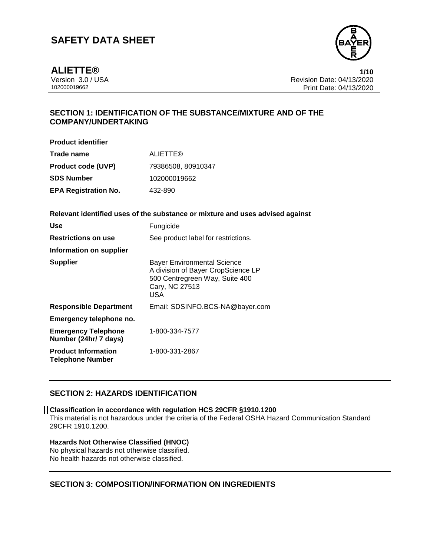

**ALIETTE® 1/10**

Version 3.0 / USA Revision Date: 04/13/2020<br>102000019662<br>Print Date: 04/13/2020 Print Date: 04/13/2020

# **SECTION 1: IDENTIFICATION OF THE SUBSTANCE/MIXTURE AND OF THE COMPANY/UNDERTAKING**

| <b>Product identifier</b>   |                    |
|-----------------------------|--------------------|
| Trade name                  | <b>ALIETTE®</b>    |
| <b>Product code (UVP)</b>   | 79386508, 80910347 |
| SDS Number                  | 102000019662       |
| <b>EPA Registration No.</b> | 432-890            |

### **Relevant identified uses of the substance or mixture and uses advised against**

| <b>Use</b>                                            | Fungicide                                                                                                                                  |
|-------------------------------------------------------|--------------------------------------------------------------------------------------------------------------------------------------------|
| <b>Restrictions on use</b>                            | See product label for restrictions.                                                                                                        |
| Information on supplier                               |                                                                                                                                            |
| <b>Supplier</b>                                       | <b>Bayer Environmental Science</b><br>A division of Bayer CropScience LP<br>500 Centregreen Way, Suite 400<br>Cary, NC 27513<br><b>USA</b> |
| <b>Responsible Department</b>                         | Email: SDSINFO.BCS-NA@bayer.com                                                                                                            |
| Emergency telephone no.                               |                                                                                                                                            |
| <b>Emergency Telephone</b><br>Number (24hr/ 7 days)   | 1-800-334-7577                                                                                                                             |
| <b>Product Information</b><br><b>Telephone Number</b> | 1-800-331-2867                                                                                                                             |

### **SECTION 2: HAZARDS IDENTIFICATION**

#### **Classification in accordance with regulation HCS 29CFR §1910.1200**

This material is not hazardous under the criteria of the Federal OSHA Hazard Communication Standard 29CFR 1910.1200.

### **Hazards Not Otherwise Classified (HNOC)**

No physical hazards not otherwise classified. No health hazards not otherwise classified.

### **SECTION 3: COMPOSITION/INFORMATION ON INGREDIENTS**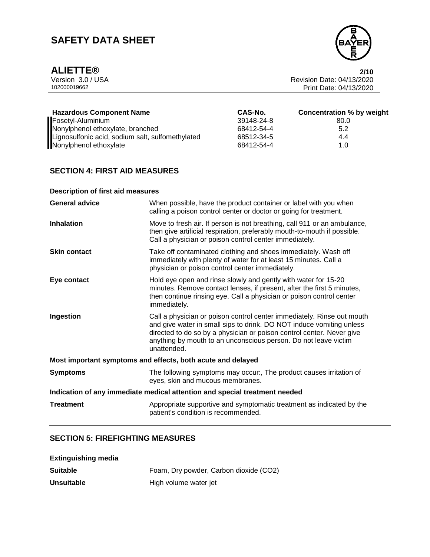

**ALIETTE®** 2/10<br>Version 3.0 / USA 2020 Version 3.0 / USA Revision Date: 04/13/2020<br>102000019662<br>Print Date: 04/13/2020 Print Date: 04/13/2020

| <b>Hazardous Component Name</b>                  | CAS-No.    | <b>Concentration % by weight</b> |
|--------------------------------------------------|------------|----------------------------------|
| Fosetyl-Aluminium                                | 39148-24-8 | 80.0                             |
| Nonylphenol ethoxylate, branched                 | 68412-54-4 | 5.2                              |
| Lignosulfonic acid, sodium salt, sulfomethylated | 68512-34-5 | 4.4                              |
| Nonylphenol ethoxylate                           | 68412-54-4 | 1.0                              |

# **SECTION 4: FIRST AID MEASURES**

# **Description of first aid measures**

| <b>General advice</b>                                                      | When possible, have the product container or label with you when<br>calling a poison control center or doctor or going for treatment.                                                                                                                                                                     |  |
|----------------------------------------------------------------------------|-----------------------------------------------------------------------------------------------------------------------------------------------------------------------------------------------------------------------------------------------------------------------------------------------------------|--|
| <b>Inhalation</b>                                                          | Move to fresh air. If person is not breathing, call 911 or an ambulance,<br>then give artificial respiration, preferably mouth-to-mouth if possible.<br>Call a physician or poison control center immediately.                                                                                            |  |
| <b>Skin contact</b>                                                        | Take off contaminated clothing and shoes immediately. Wash off<br>immediately with plenty of water for at least 15 minutes. Call a<br>physician or poison control center immediately.                                                                                                                     |  |
| Eye contact                                                                | Hold eye open and rinse slowly and gently with water for 15-20<br>minutes. Remove contact lenses, if present, after the first 5 minutes,<br>then continue rinsing eye. Call a physician or poison control center<br>immediately.                                                                          |  |
| Ingestion                                                                  | Call a physician or poison control center immediately. Rinse out mouth<br>and give water in small sips to drink. DO NOT induce vomiting unless<br>directed to do so by a physician or poison control center. Never give<br>anything by mouth to an unconscious person. Do not leave victim<br>unattended. |  |
| Most important symptoms and effects, both acute and delayed                |                                                                                                                                                                                                                                                                                                           |  |
| <b>Symptoms</b>                                                            | The following symptoms may occur:, The product causes irritation of<br>eyes, skin and mucous membranes.                                                                                                                                                                                                   |  |
| Indication of any immediate medical attention and special treatment needed |                                                                                                                                                                                                                                                                                                           |  |
| <b>Treatment</b>                                                           | Appropriate supportive and symptomatic treatment as indicated by the<br>patient's condition is recommended.                                                                                                                                                                                               |  |

### **SECTION 5: FIREFIGHTING MEASURES**

| <b>Extinguishing media</b> |                                        |
|----------------------------|----------------------------------------|
| <b>Suitable</b>            | Foam, Dry powder, Carbon dioxide (CO2) |
| <b>Unsuitable</b>          | High volume water jet                  |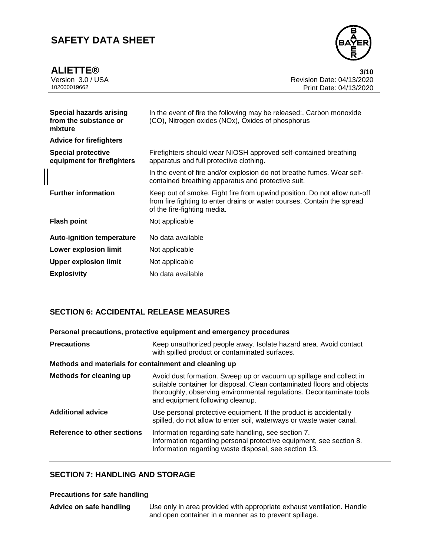**ALIETTE® 3/10**



Version 3.0 / USA Revision Date: 04/13/2020<br>102000019662<br>Print Date: 04/13/2020 Print Date: 04/13/2020

| <b>Special hazards arising</b><br>from the substance or<br>mixture | In the event of fire the following may be released:, Carbon monoxide<br>(CO), Nitrogen oxides (NOx), Oxides of phosphorus                                                          |
|--------------------------------------------------------------------|------------------------------------------------------------------------------------------------------------------------------------------------------------------------------------|
| <b>Advice for firefighters</b>                                     |                                                                                                                                                                                    |
| <b>Special protective</b><br>equipment for firefighters            | Firefighters should wear NIOSH approved self-contained breathing<br>apparatus and full protective clothing.                                                                        |
|                                                                    | In the event of fire and/or explosion do not breathe fumes. Wear self-<br>contained breathing apparatus and protective suit.                                                       |
| <b>Further information</b>                                         | Keep out of smoke. Fight fire from upwind position. Do not allow run-off<br>from fire fighting to enter drains or water courses. Contain the spread<br>of the fire-fighting media. |
| <b>Flash point</b>                                                 | Not applicable                                                                                                                                                                     |
| <b>Auto-ignition temperature</b>                                   | No data available                                                                                                                                                                  |
| <b>Lower explosion limit</b>                                       | Not applicable                                                                                                                                                                     |
| <b>Upper explosion limit</b>                                       | Not applicable                                                                                                                                                                     |
| <b>Explosivity</b>                                                 | No data available                                                                                                                                                                  |
|                                                                    |                                                                                                                                                                                    |

### **SECTION 6: ACCIDENTAL RELEASE MEASURES**

**Personal precautions, protective equipment and emergency procedures**

| <b>Precautions</b>                                    | Keep unauthorized people away. Isolate hazard area. Avoid contact<br>with spilled product or contaminated surfaces.                                                                                                                                       |
|-------------------------------------------------------|-----------------------------------------------------------------------------------------------------------------------------------------------------------------------------------------------------------------------------------------------------------|
| Methods and materials for containment and cleaning up |                                                                                                                                                                                                                                                           |
| Methods for cleaning up                               | Avoid dust formation. Sweep up or vacuum up spillage and collect in<br>suitable container for disposal. Clean contaminated floors and objects<br>thoroughly, observing environmental regulations. Decontaminate tools<br>and equipment following cleanup. |
| <b>Additional advice</b>                              | Use personal protective equipment. If the product is accidentally<br>spilled, do not allow to enter soil, waterways or waste water canal.                                                                                                                 |
| Reference to other sections                           | Information regarding safe handling, see section 7.<br>Information regarding personal protective equipment, see section 8.<br>Information regarding waste disposal, see section 13.                                                                       |

### **SECTION 7: HANDLING AND STORAGE**

### **Precautions for safe handling**

**Advice on safe handling** Use only in area provided with appropriate exhaust ventilation. Handle and open container in a manner as to prevent spillage.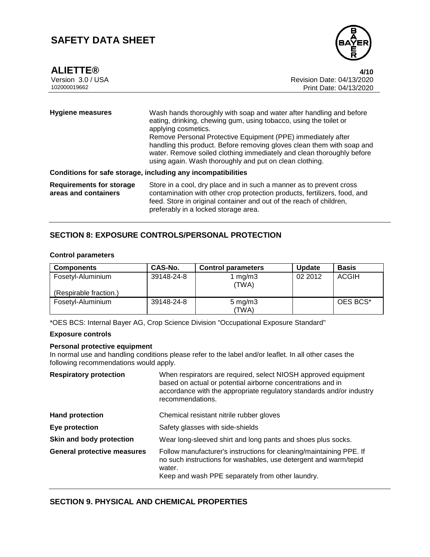

**ALIETTE® 4/10**

| <b>Hygiene measures</b>                                 | Wash hands thoroughly with soap and water after handling and before<br>eating, drinking, chewing gum, using tobacco, using the toilet or<br>applying cosmetics.<br>Remove Personal Protective Equipment (PPE) immediately after<br>handling this product. Before removing gloves clean them with soap and<br>water. Remove soiled clothing immediately and clean thoroughly before<br>using again. Wash thoroughly and put on clean clothing. |
|---------------------------------------------------------|-----------------------------------------------------------------------------------------------------------------------------------------------------------------------------------------------------------------------------------------------------------------------------------------------------------------------------------------------------------------------------------------------------------------------------------------------|
|                                                         | Conditions for safe storage, including any incompatibilities                                                                                                                                                                                                                                                                                                                                                                                  |
| <b>Requirements for storage</b><br>areas and containers | Store in a cool, dry place and in such a manner as to prevent cross<br>contamination with other crop protection products, fertilizers, food, and<br>feed. Store in original container and out of the reach of children,<br>preferably in a locked storage area.                                                                                                                                                                               |

### **SECTION 8: EXPOSURE CONTROLS/PERSONAL PROTECTION**

### **Control parameters**

| <b>Components</b>      | CAS-No.    | <b>Control parameters</b> | <b>Update</b> | <b>Basis</b> |
|------------------------|------------|---------------------------|---------------|--------------|
| Fosetyl-Aluminium      | 39148-24-8 | $\lfloor$ mg/m3           | 02 2012       | ACGIH        |
| (Respirable fraction.) |            | (TWA)                     |               |              |
| Fosetyl-Aluminium      | 39148-24-8 | $5 \text{ mg/m}$ 3        |               | OES BCS*     |
|                        |            | 'TWA)                     |               |              |

\*OES BCS: Internal Bayer AG, Crop Science Division "Occupational Exposure Standard"

## **Exposure controls**

### **Personal protective equipment**

In normal use and handling conditions please refer to the label and/or leaflet. In all other cases the following recommendations would apply.

| <b>Respiratory protection</b>      | When respirators are required, select NIOSH approved equipment<br>based on actual or potential airborne concentrations and in<br>accordance with the appropriate regulatory standards and/or industry<br>recommendations. |
|------------------------------------|---------------------------------------------------------------------------------------------------------------------------------------------------------------------------------------------------------------------------|
| <b>Hand protection</b>             | Chemical resistant nitrile rubber gloves                                                                                                                                                                                  |
| Eye protection                     | Safety glasses with side-shields                                                                                                                                                                                          |
| Skin and body protection           | Wear long-sleeved shirt and long pants and shoes plus socks.                                                                                                                                                              |
| <b>General protective measures</b> | Follow manufacturer's instructions for cleaning/maintaining PPE. If<br>no such instructions for washables, use detergent and warm/tepid<br>water.<br>Keep and wash PPE separately from other laundry.                     |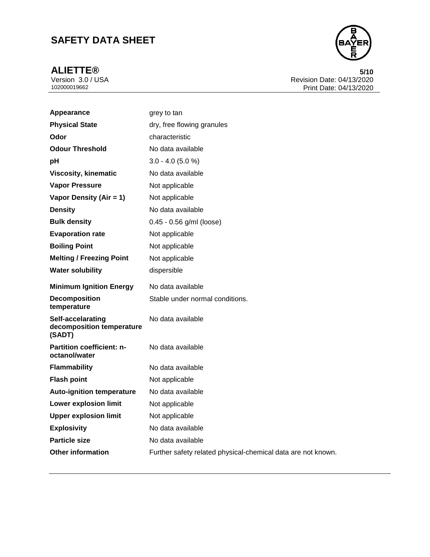

**ALIETTE®** 5/10<br>Version 3.0 / USA 5/10<br>Revision Date: 04/13/2020 Version 3.0 / USA Revision Date: 04/13/2020<br>102000019662<br>Print Date: 04/13/2020 Print Date: 04/13/2020

| Appearance                                               | grey to tan                                                  |
|----------------------------------------------------------|--------------------------------------------------------------|
| <b>Physical State</b>                                    | dry, free flowing granules                                   |
| Odor                                                     | characteristic                                               |
| <b>Odour Threshold</b>                                   | No data available                                            |
| рH                                                       | $3.0 - 4.0$ (5.0 %)                                          |
| <b>Viscosity, kinematic</b>                              | No data available                                            |
| <b>Vapor Pressure</b>                                    | Not applicable                                               |
| Vapor Density (Air = 1)                                  | Not applicable                                               |
| <b>Density</b>                                           | No data available                                            |
| <b>Bulk density</b>                                      | 0.45 - 0.56 g/ml (loose)                                     |
| <b>Evaporation rate</b>                                  | Not applicable                                               |
| <b>Boiling Point</b>                                     | Not applicable                                               |
| <b>Melting / Freezing Point</b>                          | Not applicable                                               |
| <b>Water solubility</b>                                  | dispersible                                                  |
| <b>Minimum Ignition Energy</b>                           | No data available                                            |
| <b>Decomposition</b><br>temperature                      | Stable under normal conditions.                              |
| Self-accelarating<br>decomposition temperature<br>(SADT) | No data available                                            |
| Partition coefficient: n-<br>octanol/water               | No data available                                            |
| <b>Flammability</b>                                      | No data available                                            |
| <b>Flash point</b>                                       | Not applicable                                               |
| <b>Auto-ignition temperature</b>                         | No data available                                            |
| <b>Lower explosion limit</b>                             | Not applicable                                               |
| <b>Upper explosion limit</b>                             | Not applicable                                               |
| <b>Explosivity</b>                                       | No data available                                            |
| <b>Particle size</b>                                     | No data available                                            |
| <b>Other information</b>                                 | Further safety related physical-chemical data are not known. |
|                                                          |                                                              |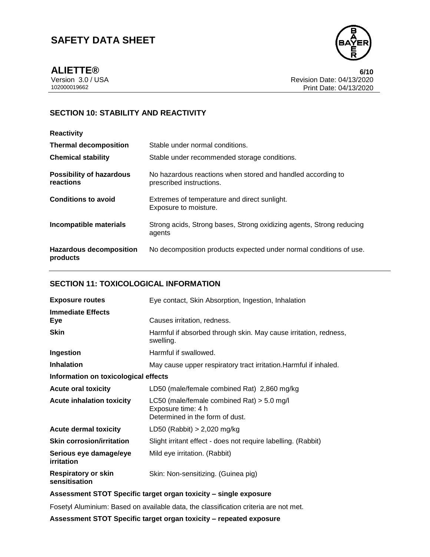

**ALIETTE® 6/10**

Version 3.0 / USA Revision Date: 04/13/2020<br>102000019662<br>Print Date: 04/13/2020 Print Date: 04/13/2020

# **SECTION 10: STABILITY AND REACTIVITY**

# **Reactivity**

| <b>Thermal decomposition</b>                 | Stable under normal conditions.                                                         |
|----------------------------------------------|-----------------------------------------------------------------------------------------|
| <b>Chemical stability</b>                    | Stable under recommended storage conditions.                                            |
| <b>Possibility of hazardous</b><br>reactions | No hazardous reactions when stored and handled according to<br>prescribed instructions. |
| <b>Conditions to avoid</b>                   | Extremes of temperature and direct sunlight.<br>Exposure to moisture.                   |
| Incompatible materials                       | Strong acids, Strong bases, Strong oxidizing agents, Strong reducing<br>agents          |
| <b>Hazardous decomposition</b><br>products   | No decomposition products expected under normal conditions of use.                      |

### **SECTION 11: TOXICOLOGICAL INFORMATION**

| <b>Exposure routes</b>                      | Eye contact, Skin Absorption, Ingestion, Inhalation                                                   |  |  |
|---------------------------------------------|-------------------------------------------------------------------------------------------------------|--|--|
| <b>Immediate Effects</b><br>Eye             | Causes irritation, redness.                                                                           |  |  |
| <b>Skin</b>                                 | Harmful if absorbed through skin. May cause irritation, redness,<br>swelling.                         |  |  |
| Ingestion                                   | Harmful if swallowed.                                                                                 |  |  |
| <b>Inhalation</b>                           | May cause upper respiratory tract irritation. Harmful if inhaled.                                     |  |  |
| Information on toxicological effects        |                                                                                                       |  |  |
| <b>Acute oral toxicity</b>                  | LD50 (male/female combined Rat) 2,860 mg/kg                                                           |  |  |
| <b>Acute inhalation toxicity</b>            | LC50 (male/female combined Rat) $>$ 5.0 mg/l<br>Exposure time: 4 h<br>Determined in the form of dust. |  |  |
| <b>Acute dermal toxicity</b>                | LD50 (Rabbit) $> 2,020$ mg/kg                                                                         |  |  |
| <b>Skin corrosion/irritation</b>            | Slight irritant effect - does not require labelling. (Rabbit)                                         |  |  |
| Serious eye damage/eye<br>irritation        | Mild eye irritation. (Rabbit)                                                                         |  |  |
| <b>Respiratory or skin</b><br>sensitisation | Skin: Non-sensitizing. (Guinea pig)                                                                   |  |  |

### **Assessment STOT Specific target organ toxicity – single exposure**

Fosetyl Aluminium: Based on available data, the classification criteria are not met.

**Assessment STOT Specific target organ toxicity – repeated exposure**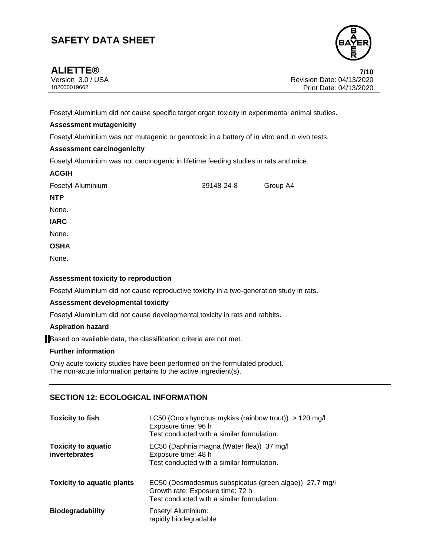

Version 3.0 / USA Revision Date: 04/13/2020<br>102000019662<br>Print Date: 04/13/2020 Print Date: 04/13/2020

Fosetyl Aluminium did not cause specific target organ toxicity in experimental animal studies.

### **Assessment mutagenicity**

Fosetyl Aluminium was not mutagenic or genotoxic in a battery of in vitro and in vivo tests.

### **Assessment carcinogenicity**

Fosetyl Aluminium was not carcinogenic in lifetime feeding studies in rats and mice.

| <b>ACGIH</b> |
|--------------|
|--------------|

Fosetyl-Aluminium 39148-24-8 Group A4

### **NTP**

None.

**IARC**

None.

**OSHA**

None.

### **Assessment toxicity to reproduction**

Fosetyl Aluminium did not cause reproductive toxicity in a two-generation study in rats.

#### **Assessment developmental toxicity**

Fosetyl Aluminium did not cause developmental toxicity in rats and rabbits.

### **Aspiration hazard**

Based on available data, the classification criteria are not met.

### **Further information**

Only acute toxicity studies have been performed on the formulated product. The non-acute information pertains to the active ingredient(s).

### **SECTION 12: ECOLOGICAL INFORMATION**

| <b>Toxicity to fish</b>                     | LC50 (Oncorhynchus mykiss (rainbow trout)) > 120 mg/l<br>Exposure time: 96 h<br>Test conducted with a similar formulation.               |  |
|---------------------------------------------|------------------------------------------------------------------------------------------------------------------------------------------|--|
| <b>Toxicity to aquatic</b><br>invertebrates | EC50 (Daphnia magna (Water flea)) 37 mg/l<br>Exposure time: 48 h<br>Test conducted with a similar formulation.                           |  |
| <b>Toxicity to aquatic plants</b>           | EC50 (Desmodesmus subspicatus (green algae)) 27.7 mg/l<br>Growth rate; Exposure time: 72 h<br>Test conducted with a similar formulation. |  |
| <b>Biodegradability</b>                     | Fosetyl Aluminium:<br>rapidly biodegradable                                                                                              |  |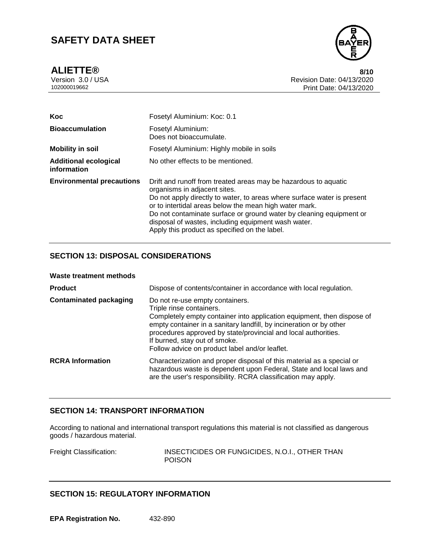**ALIETTE® 8/10**



Version 3.0 / USA Revision Date: 04/13/2020 Print Date: 04/13/2020

| Koc                                         | Fosetyl Aluminium: Koc: 0.1                                                                                                                                                                                                                                                                                                                                                                                         |  |
|---------------------------------------------|---------------------------------------------------------------------------------------------------------------------------------------------------------------------------------------------------------------------------------------------------------------------------------------------------------------------------------------------------------------------------------------------------------------------|--|
| <b>Bioaccumulation</b>                      | Fosetyl Aluminium:<br>Does not bioaccumulate.                                                                                                                                                                                                                                                                                                                                                                       |  |
| <b>Mobility in soil</b>                     | Fosetyl Aluminium: Highly mobile in soils                                                                                                                                                                                                                                                                                                                                                                           |  |
| <b>Additional ecological</b><br>information | No other effects to be mentioned.                                                                                                                                                                                                                                                                                                                                                                                   |  |
| <b>Environmental precautions</b>            | Drift and runoff from treated areas may be hazardous to aquatic<br>organisms in adjacent sites.<br>Do not apply directly to water, to areas where surface water is present<br>or to intertidal areas below the mean high water mark.<br>Do not contaminate surface or ground water by cleaning equipment or<br>disposal of wastes, including equipment wash water.<br>Apply this product as specified on the label. |  |

# **SECTION 13: DISPOSAL CONSIDERATIONS**

| <b>Product</b>                | Dispose of contents/container in accordance with local regulation.                                                                                                                                                                                                                                                                                                |  |  |
|-------------------------------|-------------------------------------------------------------------------------------------------------------------------------------------------------------------------------------------------------------------------------------------------------------------------------------------------------------------------------------------------------------------|--|--|
| <b>Contaminated packaging</b> | Do not re-use empty containers.<br>Triple rinse containers.<br>Completely empty container into application equipment, then dispose of<br>empty container in a sanitary landfill, by incineration or by other<br>procedures approved by state/provincial and local authorities.<br>If burned, stay out of smoke.<br>Follow advice on product label and/or leaflet. |  |  |
| <b>RCRA</b> Information       | Characterization and proper disposal of this material as a special or<br>hazardous waste is dependent upon Federal, State and local laws and<br>are the user's responsibility. RCRA classification may apply.                                                                                                                                                     |  |  |

### **SECTION 14: TRANSPORT INFORMATION**

According to national and international transport regulations this material is not classified as dangerous goods / hazardous material.

Freight Classification: INSECTICIDES OR FUNGICIDES, N.O.I., OTHER THAN POISON

# **SECTION 15: REGULATORY INFORMATION**

**EPA Registration No.** 432-890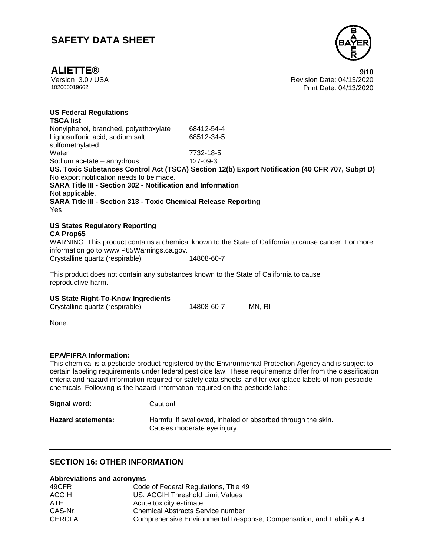

# **ALIETTE® 9/10**

Version 3.0 / USA Revision Date: 04/13/2020 102000019662 Print Date: 04/13/2020

### **US Federal Regulations**

**TSCA list** Nonylphenol, branched, polyethoxylate 68412-54-4 Lignosulfonic acid, sodium salt, sulfomethylated 68512-34-5 Water 7732-18-5 Sodium acetate – anhydrous 127-09-3 **US. Toxic Substances Control Act (TSCA) Section 12(b) Export Notification (40 CFR 707, Subpt D)** No export notification needs to be made. **SARA Title III - Section 302 - Notification and Information** Not applicable. **SARA Title III - Section 313 - Toxic Chemical Release Reporting** Yes

#### **US States Regulatory Reporting CA Prop65**

WARNING: This product contains a chemical known to the State of California to cause cancer. For more information go to www.P65Warnings.ca.gov. Crystalline quartz (respirable) 14808-60-7

This product does not contain any substances known to the State of California to cause reproductive harm.

#### **US State Right-To-Know Ingredients**

| Crystalline quartz (respirable) | 14808-60-7 | MN, RI |
|---------------------------------|------------|--------|
|                                 |            |        |

None.

#### **EPA/FIFRA Information:**

This chemical is a pesticide product registered by the Environmental Protection Agency and is subject to certain labeling requirements under federal pesticide law. These requirements differ from the classification criteria and hazard information required for safety data sheets, and for workplace labels of non-pesticide chemicals. Following is the hazard information required on the pesticide label:

**Signal word:** Caution!

| <b>Hazard statements:</b> | Harmful if swallowed, inhaled or absorbed through the skin. |
|---------------------------|-------------------------------------------------------------|
|                           | Causes moderate eye injury.                                 |

### **SECTION 16: OTHER INFORMATION**

#### **Abbreviations and acronyms**

| 49CFR         | Code of Federal Regulations, Title 49                                 |
|---------------|-----------------------------------------------------------------------|
| <b>ACGIH</b>  | US. ACGIH Threshold Limit Values                                      |
| <b>ATE</b>    | Acute toxicity estimate                                               |
| CAS-Nr.       | <b>Chemical Abstracts Service number</b>                              |
| <b>CERCLA</b> | Comprehensive Environmental Response, Compensation, and Liability Act |